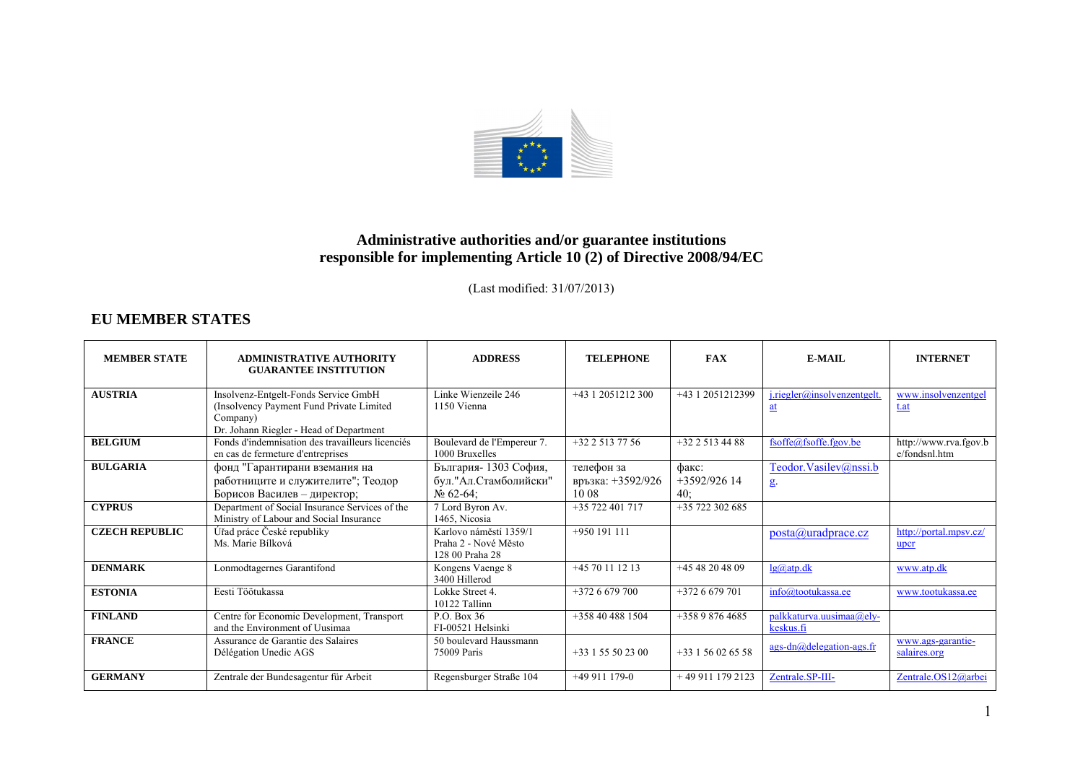

## **Administrative authorities and/or guarantee institutions responsible for implementing Article 10 (2) of Directive 2008/94/EC**

(Last modified: 31/07/2013)

## **EU MEMBER STATES**

| <b>MEMBER STATE</b>   | <b>ADMINISTRATIVE AUTHORITY</b><br><b>GUARANTEE INSTITUTION</b>                                                                         | <b>ADDRESS</b>                                                    | <b>TELEPHONE</b>                         | <b>FAX</b>                     | E-MAIL                                | <b>INTERNET</b>                        |
|-----------------------|-----------------------------------------------------------------------------------------------------------------------------------------|-------------------------------------------------------------------|------------------------------------------|--------------------------------|---------------------------------------|----------------------------------------|
| <b>AUSTRIA</b>        | Insolvenz-Entgelt-Fonds Service GmbH<br>(Insolvency Payment Fund Private Limited<br>Company)<br>Dr. Johann Riegler - Head of Department | Linke Wienzeile 246<br>1150 Vienna                                | +43 1 2051212 300                        | +43 1 2051212399               | $i$ .riegler@insolvenzentgelt.<br>at  | www.insolvenzentgel<br>t.at            |
| <b>BELGIUM</b>        | Fonds d'indemnisation des travailleurs licenciés<br>en cas de fermeture d'entreprises                                                   | Boulevard de l'Empereur 7.<br>1000 Bruxelles                      | $+3225137756$                            | +32 2 513 44 88                | fsoffe@fsoffe.fgov.be                 | http://www.rva.fgov.b<br>e/fondsnl.htm |
| <b>BULGARIA</b>       | фонд "Гарантирани вземания на<br>работниците и служителите"; Теодор<br>Борисов Василев – директор;                                      | България-1303 София,<br>бул."Ал.Стамболийски"<br>$N_2$ 62-64;     | телефон за<br>връзка: +3592/926<br>10.08 | факс:<br>$+3592/926$ 14<br>40: | Teodor.Vasilev@nssi.b<br>g            |                                        |
| <b>CYPRUS</b>         | Department of Social Insurance Services of the<br>Ministry of Labour and Social Insurance                                               | 7 Lord Byron Av.<br>1465. Nicosia                                 | $+35722401717$                           | $+35$ 722 302 685              |                                       |                                        |
| <b>CZECH REPUBLIC</b> | Úřad práce České republiky<br>Ms. Marie Bílková                                                                                         | Karlovo náměstí 1359/1<br>Praha 2 - Nové Město<br>128 00 Praha 28 | $+950$ 191 111                           |                                | posta@uradprace.cz                    | http://portal.mpsv.cz/<br>upcr         |
| <b>DENMARK</b>        | Lonmodtagernes Garantifond                                                                                                              | Kongens Vaenge 8<br>3400 Hillerod                                 | $+4570111213$                            | $+4548204809$                  | $lg(a)$ atp.dk                        | www.atp.dk                             |
| <b>ESTONIA</b>        | Eesti Töötukassa                                                                                                                        | Lokke Street 4.<br>10122 Tallinn                                  | $+3726679700$                            | $+3726679701$                  | info@tootukassa.ee                    | www.tootukassa.ee                      |
| <b>FINLAND</b>        | Centre for Economic Development, Transport<br>and the Environment of Uusimaa                                                            | P.O. Box 36<br>FI-00521 Helsinki                                  | +358 40 488 1504                         | $+35898764685$                 | palkkaturva.uusimaa@ely-<br>keskus.fi |                                        |
| <b>FRANCE</b>         | Assurance de Garantie des Salaires<br>Délégation Unedic AGS                                                                             | 50 boulevard Haussmann<br>75009 Paris                             | $+33$ 1 55 50 23 00                      | $+33156026558$                 | ags-dn@delegation-ags.fr              | www.ags-garantie-<br>salaires.org      |
| <b>GERMANY</b>        | Zentrale der Bundesagentur für Arbeit                                                                                                   | Regensburger Straße 104                                           | $+49911179-0$                            | +49 911 179 2123               | Zentrale.SP-III-                      | Zentrale.OS12@arbei                    |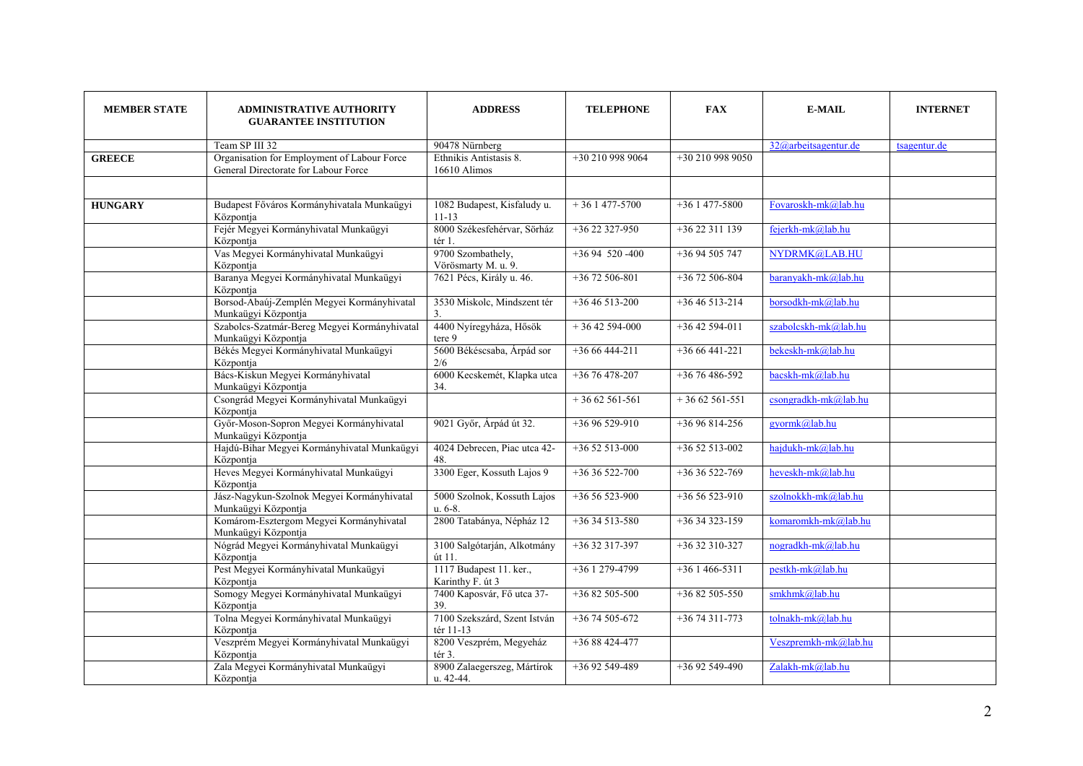| <b>MEMBER STATE</b> | <b>ADMINISTRATIVE AUTHORITY</b><br><b>GUARANTEE INSTITUTION</b>                     | <b>ADDRESS</b>                                | <b>TELEPHONE</b> | <b>FAX</b>       | <b>E-MAIL</b>        | <b>INTERNET</b> |
|---------------------|-------------------------------------------------------------------------------------|-----------------------------------------------|------------------|------------------|----------------------|-----------------|
|                     | Team SP III 32                                                                      | 90478 Nürnberg                                |                  |                  | 32@arbeitsagentur.de | tsagentur.de    |
| <b>GREECE</b>       | Organisation for Employment of Labour Force<br>General Directorate for Labour Force | Ethnikis Antistasis 8.<br>16610 Alimos        | +30 210 998 9064 | +30 210 998 9050 |                      |                 |
|                     |                                                                                     |                                               |                  |                  |                      |                 |
| <b>HUNGARY</b>      | Budapest Főváros Kormányhivatala Munkaügyi<br>Központja                             | 1082 Budapest, Kisfaludy u.<br>$11 - 13$      | $+361477-5700$   | $+361477-5800$   | Fovaroskh-mk@lab.hu  |                 |
|                     | Fejér Megyei Kormányhivatal Munkaügyi<br>Központja                                  | 8000 Székesfehérvar, Sörház<br>tér 1.         | +36 22 327-950   | $+3622311139$    | fejerkh-mk@lab.hu    |                 |
|                     | Vas Megyei Kormányhivatal Munkaügyi<br>Központja                                    | 9700 Szombathely,<br>Vörösmarty M. u. 9.      | $+3694$ 520 -400 | +36 94 505 747   | NYDRMK@LAB.HU        |                 |
|                     | Baranya Megyei Kormányhivatal Munkaügyi<br>Központja                                | 7621 Pécs, Király u. 46.                      | $+3672506-801$   | $+3672506-804$   | baranyakh-mk@lab.hu  |                 |
|                     | Borsod-Abaúj-Zemplén Megyei Kormányhivatal<br>Munkaügyi Központja                   | 3530 Miskolc, Mindszent tér<br>3 <sub>1</sub> | $+3646513-200$   | $+3646513-214$   | borsodkh-mk@lab.hu   |                 |
|                     | Szabolcs-Szatmár-Bereg Megyei Kormányhivatal<br>Munkaügyi Központja                 | 4400 Nyíregyháza, Hősök<br>tere 9             | $+3642594-000$   | $+3642594-011$   | szabolcskh-mk@lab.hu |                 |
|                     | Békés Megyei Kormányhivatal Munkaügyi<br>Központja                                  | 5600 Békéscsaba, Árpád sor<br>2/6             | $+3666444-211$   | $+3666441-221$   | bekeskh-mk@lab.hu    |                 |
|                     | Bács-Kiskun Megyei Kormányhivatal<br>Munkaügyi Központja                            | 6000 Kecskemét, Klapka utca<br>34.            | $+3676478-207$   | $+3676486-592$   | bacskh-mk@lab.hu     |                 |
|                     | Csongrád Megyei Kormányhivatal Munkaügyi<br>Központja                               |                                               | $+3662561-561$   | $+3662561-551$   | csongradkh-mk@lab.hu |                 |
|                     | Győr-Moson-Sopron Megyei Kormányhivatal<br>Munkaügyi Központja                      | 9021 Győr, Árpád út 32.                       | $+3696529-910$   | +36 96 814-256   | gyormk@lab.hu        |                 |
|                     | Hajdú-Bihar Megyei Kormányhivatal Munkaügyi<br>Központja                            | 4024 Debrecen, Piac utca 42-<br>48.           | $+3652513-000$   | $+3652513-002$   | hajdukh-mk@lab.hu    |                 |
|                     | Heves Megyei Kormányhivatal Munkaügyi<br>Központja                                  | 3300 Eger, Kossuth Lajos 9                    | $+3636522 - 700$ | +36 36 522-769   | heveskh-mk@lab.hu    |                 |
|                     | Jász-Nagykun-Szolnok Megyei Kormányhivatal<br>Munkaügyi Központja                   | 5000 Szolnok, Kossuth Lajos<br>u. 6-8.        | $+3656523-900$   | $+3656523-910$   | szolnokkh-mk@lab.hu  |                 |
|                     | Komárom-Esztergom Megyei Kormányhivatal<br>Munkaügyi Központja                      | 2800 Tatabánya, Népház 12                     | $+3634513-580$   | $+3634323-159$   | komaromkh-mk@lab.hu  |                 |
|                     | Nógrád Megyei Kormányhivatal Munkaügyi<br>Központja                                 | 3100 Salgótarján, Alkotmány<br>út 11.         | $+3632317-397$   | $+3632310-327$   | nogradkh-mk@lab.hu   |                 |
|                     | Pest Megyei Kormányhivatal Munkaügyi<br>Központja                                   | 1117 Budapest 11. ker.,<br>Karinthy F. út 3   | $+361279-4799$   | $+361466-5311$   | pestkh-mk@lab.hu     |                 |
|                     | Somogy Megyei Kormányhivatal Munkaügyi<br>Központja                                 | 7400 Kaposvár, Fő utca 37-<br>39.             | +36 82 505-500   | $+3682505-550$   | smkhmk@lab.hu        |                 |
|                     | Tolna Megyei Kormányhivatal Munkaügyi<br>Központja                                  | 7100 Szekszárd, Szent István<br>tér 11-13     | $+3674505-672$   | $+3674311 - 773$ | tolnakh-mk@lab.hu    |                 |
|                     | Veszprém Megyei Kormányhivatal Munkaügyi<br>Központja                               | 8200 Veszprém, Megyeház<br>tér 3.             | $+3688424-477$   |                  | Veszpremkh-mk@lab.hu |                 |
|                     | Zala Megyei Kormányhivatal Munkaügyi<br>Központja                                   | 8900 Zalaegerszeg, Mártírok<br>u. 42-44.      | +36 92 549-489   | $+3692549-490$   | Zalakh-mk@lab.hu     |                 |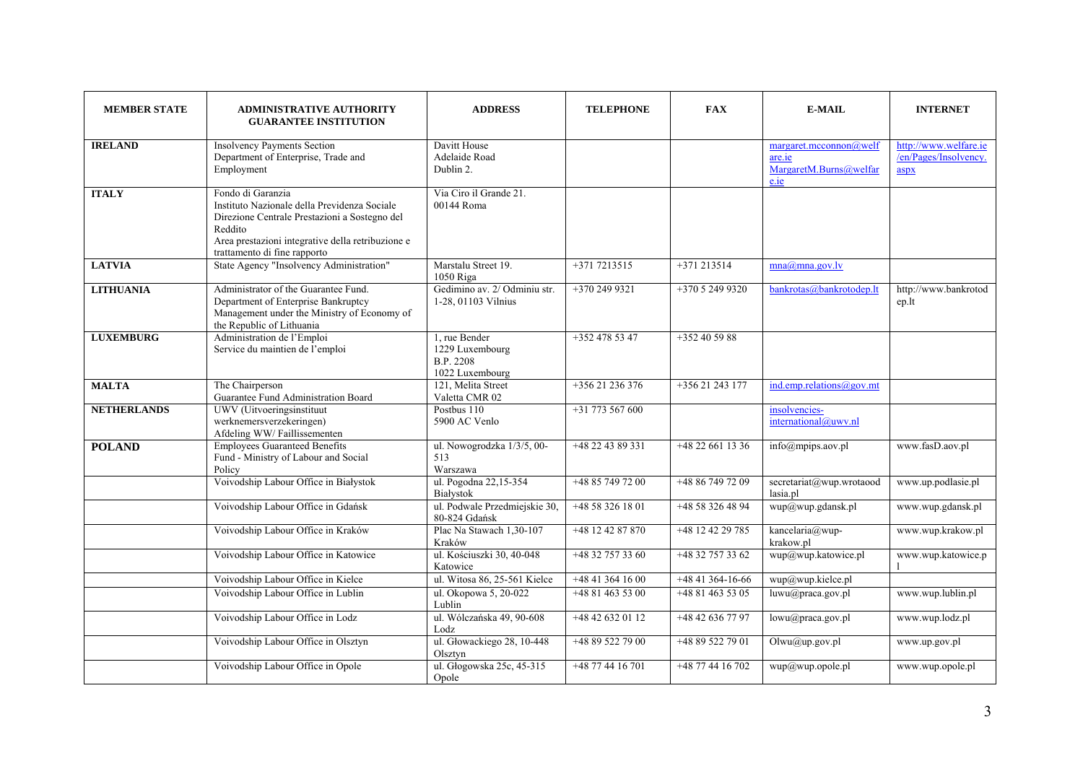| <b>MEMBER STATE</b> | <b>ADMINISTRATIVE AUTHORITY</b><br><b>GUARANTEE INSTITUTION</b>                                                                                                                                                    | <b>ADDRESS</b>                                                          | <b>TELEPHONE</b>                     | <b>FAX</b>                           | <b>E-MAIL</b>                                                                                | <b>INTERNET</b>                                        |
|---------------------|--------------------------------------------------------------------------------------------------------------------------------------------------------------------------------------------------------------------|-------------------------------------------------------------------------|--------------------------------------|--------------------------------------|----------------------------------------------------------------------------------------------|--------------------------------------------------------|
| <b>IRELAND</b>      | <b>Insolvency Payments Section</b><br>Department of Enterprise, Trade and<br>Employment                                                                                                                            | Davitt House<br>Adelaide Road<br>Dublin 2.                              |                                      |                                      | margaret.meconomic@well<br>are.ie<br>MargaretM.Burns@welfar<br>e <sub>i</sub> e <sub>j</sub> | http://www.welfare.ie<br>/en/Pages/Insolvency.<br>aspx |
| <b>ITALY</b>        | Fondo di Garanzia<br>Instituto Nazionale della Previdenza Sociale<br>Direzione Centrale Prestazioni a Sostegno del<br>Reddito<br>Area prestazioni integrative della retribuzione e<br>trattamento di fine rapporto | Via Ciro il Grande 21.<br>00144 Roma                                    |                                      |                                      |                                                                                              |                                                        |
| <b>LATVIA</b>       | State Agency "Insolvency Administration"                                                                                                                                                                           | Marstalu Street 19.<br>1050 Riga                                        | $+3717213515$                        | $+371213514$                         | mna@mna.gov.lv                                                                               |                                                        |
| <b>LITHUANIA</b>    | Administrator of the Guarantee Fund.<br>Department of Enterprise Bankruptcy<br>Management under the Ministry of Economy of<br>the Republic of Lithuania                                                            | Gedimino av. 2/ Odminiu str.<br>1-28, 01103 Vilnius                     | +370 249 9321                        | $+37052499320$                       | bankrotas@bankrotodep.lt                                                                     | http://www.bankrotod<br>ep.lt                          |
| <b>LUXEMBURG</b>    | Administration de l'Emploi<br>Service du maintien de l'emploi                                                                                                                                                      | 1. rue Bender<br>1229 Luxembourg<br><b>B.P. 2208</b><br>1022 Luxembourg | $+3524785347$                        | $+352405988$                         |                                                                                              |                                                        |
| <b>MALTA</b>        | The Chairperson<br>Guarantee Fund Administration Board                                                                                                                                                             | 121, Melita Street<br>Valetta CMR 02                                    | $+35621236376$                       | +356 21 243 177                      | ind.emp. relations @gov.mt                                                                   |                                                        |
| <b>NETHERLANDS</b>  | UWV (Uitvoeringsinstituut<br>werknemersverzekeringen)<br>Afdeling WW/Faillissementen                                                                                                                               | Postbus 110<br>5900 AC Venlo                                            | +31 773 567 600                      |                                      | insolvencies-<br>international@uwv.nl                                                        |                                                        |
| <b>POLAND</b>       | <b>Employees Guaranteed Benefits</b><br>Fund - Ministry of Labour and Social<br>Policy<br>Voivodship Labour Office in Białystok                                                                                    | ul. Nowogrodzka 1/3/5, 00-<br>513<br>Warszawa<br>ul. Pogodna 22,15-354  | +48 22 43 89 331<br>+48 85 749 72 00 | +48 22 661 13 36<br>+48 86 749 72 09 | info@mpips.aov.pl<br>secretariat@wup.wrotaood                                                | www.fasD.aov.pl<br>www.up.podlasie.pl                  |
|                     | Voivodship Labour Office in Gdańsk                                                                                                                                                                                 | Białystok<br>ul. Podwale Przedmiejskie 30,<br>80-824 Gdańsk             | $+48583261801$                       | +48 58 326 48 94                     | lasia.pl<br>wup@wup.gdansk.pl                                                                | www.wup.gdansk.pl                                      |
|                     | Voivodship Labour Office in Kraków                                                                                                                                                                                 | Plac Na Stawach 1,30-107<br>Kraków                                      | +48 12 42 87 870                     | +48 12 42 29 785                     | kancelaria@wup-<br>krakow.pl                                                                 | www.wup.krakow.pl                                      |
|                     | Voivodship Labour Office in Katowice                                                                                                                                                                               | ul. Kościuszki 30, 40-048<br>Katowice                                   | $+48327573360$                       | +48 32 757 33 62                     | wup@wup.katowice.pl                                                                          | www.wup.katowice.p                                     |
|                     | Voivodship Labour Office in Kielce                                                                                                                                                                                 | ul. Witosa 86, 25-561 Kielce                                            | +48 41 364 16 00                     | +48 41 364-16-66                     | wup@wup.kielce.pl                                                                            |                                                        |
|                     | Voivodship Labour Office in Lublin                                                                                                                                                                                 | ul. Okopowa 5, 20-022<br>Lublin                                         | $+48814635300$                       | +48 81 463 53 05                     | luwu@praca.gov.pl                                                                            | www.wup.lublin.pl                                      |
|                     | Voivodship Labour Office in Lodz                                                                                                                                                                                   | ul. Wólczańska 49, 90-608<br>Lodz                                       | +48 42 632 01 12                     | +48 42 636 77 97                     | lowu@praca.gov.pl                                                                            | www.wup.lodz.pl                                        |
|                     | Voivodship Labour Office in Olsztyn                                                                                                                                                                                | ul. Głowackiego 28, 10-448<br>Olsztyn                                   | +48 89 522 79 00                     | +48 89 522 79 01                     | Olwu@up.gov.pl                                                                               | www.up.gov.pl                                          |
|                     | Voivodship Labour Office in Opole                                                                                                                                                                                  | ul. Głogowska 25c, 45-315<br>Opole                                      | +48 77 44 16 701                     | +48 77 44 16 702                     | wup@wup.opole.pl                                                                             | www.wup.opole.pl                                       |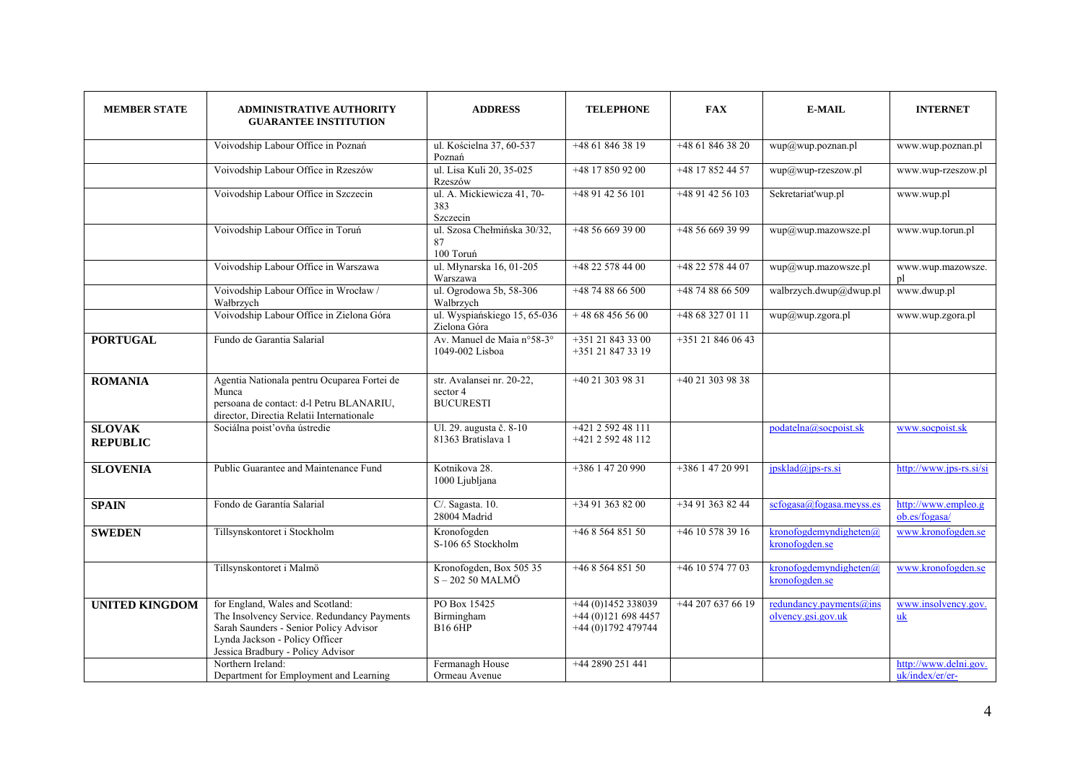| <b>MEMBER STATE</b>              | <b>ADMINISTRATIVE AUTHORITY</b><br><b>GUARANTEE INSTITUTION</b>                                                                                                                                  | <b>ADDRESS</b>                                            | <b>TELEPHONE</b>                                               | <b>FAX</b>         | <b>E-MAIL</b>                                 | <b>INTERNET</b>                          |
|----------------------------------|--------------------------------------------------------------------------------------------------------------------------------------------------------------------------------------------------|-----------------------------------------------------------|----------------------------------------------------------------|--------------------|-----------------------------------------------|------------------------------------------|
|                                  | Voivodship Labour Office in Poznań                                                                                                                                                               | ul. Kościelna 37, 60-537<br>Poznań                        | $+48618463819$                                                 | +48 61 846 38 20   | wup@wup.poznan.pl                             | www.wup.poznan.pl                        |
|                                  | Voivodship Labour Office in Rzeszów                                                                                                                                                              | ul. Lisa Kuli 20, 35-025<br>Rzeszów                       | +48 17 850 92 00                                               | +48 17 852 44 57   | wup@wup-rzeszow.pl                            | www.wup-rzeszow.pl                       |
|                                  | Voivodship Labour Office in Szczecin                                                                                                                                                             | ul. A. Mickiewicza 41, 70-<br>383<br>Szczecin             | +48 91 42 56 101                                               | +48 91 42 56 103   | Sekretariat'wup.pl                            | www.wup.pl                               |
|                                  | Voivodship Labour Office in Toruń                                                                                                                                                                | ul. Szosa Chełmińska 30/32,<br>87<br>100 Toruń            | $+48566693900$                                                 | +48 56 669 39 99   | wup@wup.mazowsze.pl                           | www.wup.torun.pl                         |
|                                  | Voivodship Labour Office in Warszawa                                                                                                                                                             | ul. Młynarska 16, 01-205<br>Warszawa                      | +48 22 578 44 00                                               | +48 22 578 44 07   | wup@wup.mazowsze.pl                           | www.wup.mazowsze.<br>pl                  |
|                                  | Voivodship Labour Office in Wrocław /<br>Wałbrzych                                                                                                                                               | ul. Ogrodowa 5b, 58-306<br>Walbrzych                      | $+48$ 74 88 66 500                                             | $+48$ 74 88 66 509 | walbrzych.dwup@dwup.pl                        | www.dwup.pl                              |
|                                  | Voivodship Labour Office in Zielona Góra                                                                                                                                                         | ul. Wyspiańskiego 15, 65-036<br>Zielona Góra              | $+48684565600$                                                 | $+48683270111$     | wup@wup.zgora.pl                              | www.wup.zgora.pl                         |
| <b>PORTUGAL</b>                  | Fundo de Garantia Salarial                                                                                                                                                                       | Av. Manuel de Maia n°58-3°<br>1049-002 Lisboa             | +351 21 843 33 00<br>+351 21 847 33 19                         | +351 21 846 06 43  |                                               |                                          |
| <b>ROMANIA</b>                   | Agentia Nationala pentru Ocuparea Fortei de<br>Munca<br>persoana de contact: d-l Petru BLANARIU,<br>director, Directia Relatii Internationale                                                    | str. Avalansei nr. 20-22,<br>sector 4<br><b>BUCURESTI</b> | +40 21 303 98 31                                               | +40 21 303 98 38   |                                               |                                          |
| <b>SLOVAK</b><br><b>REPUBLIC</b> | Sociálna poist'ovňa ústredie                                                                                                                                                                     | Ul. 29. augusta č. 8-10<br>81363 Bratislava 1             | +421 2 592 48 111<br>+421 2 592 48 112                         |                    | $podatelna@soepoist-sk$                       | www.socpoist.sk                          |
| <b>SLOVENIA</b>                  | Public Guarantee and Maintenance Fund                                                                                                                                                            | Kotnikova 28.<br>1000 Ljubljana                           | $+38614720990$                                                 | $+38614720991$     | $ipsklad(a)ips-rs.si$                         | http://www.jps-rs.si/si                  |
| <b>SPAIN</b>                     | Fondo de Garantía Salarial                                                                                                                                                                       | C/. Sagasta. 10.<br>28004 Madrid                          | $+34913638200$                                                 | $+34913638244$     | scfogasa@fogasa.meyss.es                      | http://www.empleo.g<br>ob.es/fogasa/     |
| <b>SWEDEN</b>                    | Tillsynskontoret i Stockholm                                                                                                                                                                     | Kronofogden<br>S-106 65 Stockholm                         | +46 8 564 851 50                                               | +46 10 578 39 16   | kronofogdemyndigheten(a)<br>kronofogden.se    | www.kronofogden.se                       |
|                                  | Tillsynskontoret i Malmö                                                                                                                                                                         | Kronofogden, Box 505 35<br>$S - 20250$ MALMÖ              | +46 8 564 851 50                                               | +46 10 574 77 03   | kronofogdemyndigheten(a)<br>kronofogden.se    | www.kronofogden.se                       |
| <b>UNITED KINGDOM</b>            | for England, Wales and Scotland:<br>The Insolvency Service. Redundancy Payments<br>Sarah Saunders - Senior Policy Advisor<br>Lynda Jackson - Policy Officer<br>Jessica Bradbury - Policy Advisor | PO Box 15425<br>Birmingham<br><b>B16 6HP</b>              | +44 (0)1452 338039<br>$+44(0)1216984457$<br>+44 (0)1792 479744 | +44 207 637 66 19  | redundancy.payments@ins<br>olvency.gsi.gov.uk | www.insolvency.gov.<br>uk                |
|                                  | Northern Ireland:<br>Department for Employment and Learning                                                                                                                                      | Fermanagh House<br>Ormeau Avenue                          | +44 2890 251 441                                               |                    |                                               | http://www.delni.gov.<br>uk/index/er/er- |